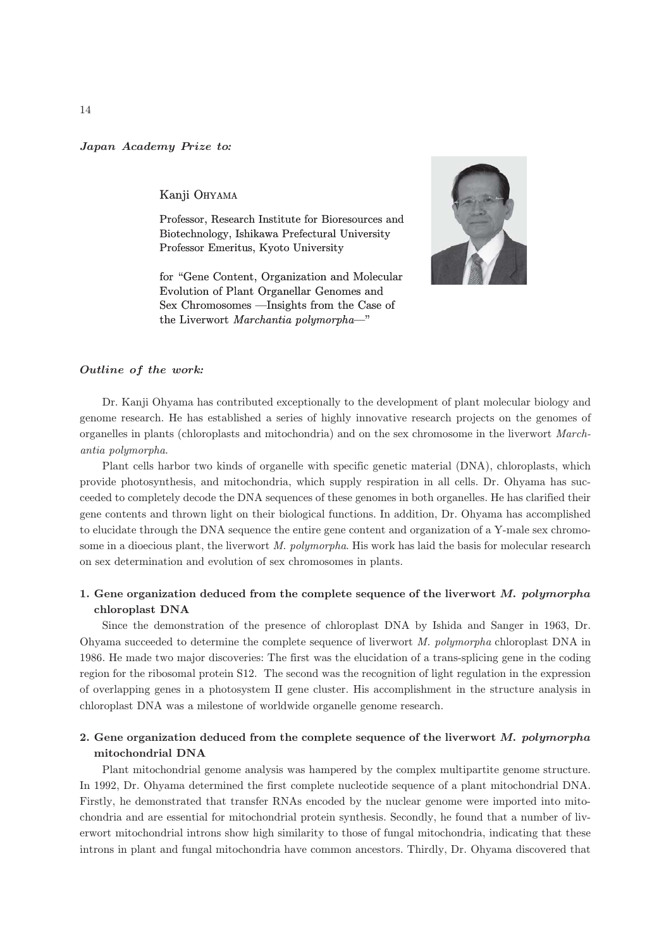Japan Academy Prize to*:*

### Kanji OHYAMA

Professor, Research Institute for Bioresources and Biotechnology, Ishikawa Prefectural University Professor Emeritus, Kyoto University

for "Gene Content, Organization and Molecular Evolution of Plant Organellar Genomes and Sex Chromosomes —Insights from the Case of the Liverwort Marchantia polymorpha—"



#### Outline of the work*:*

Dr. Kanji Ohyama has contributed exceptionally to the development of plant molecular biology and genome research. He has established a series of highly innovative research projects on the genomes of organelles in plants (chloroplasts and mitochondria) and on the sex chromosome in the liverwort Marchantia polymorpha.

Plant cells harbor two kinds of organelle with specific genetic material (DNA), chloroplasts, which provide photosynthesis, and mitochondria, which supply respiration in all cells. Dr. Ohyama has succeeded to completely decode the DNA sequences of these genomes in both organelles. He has clarified their gene contents and thrown light on their biological functions. In addition, Dr. Ohyama has accomplished to elucidate through the DNA sequence the entire gene content and organization of a Y-male sex chromosome in a dioecious plant, the liverwort M. polymorpha. His work has laid the basis for molecular research on sex determination and evolution of sex chromosomes in plants.

## 1. Gene organization deduced from the complete sequence of the liverwort M. polymorpha chloroplast DNA

Since the demonstration of the presence of chloroplast DNA by Ishida and Sanger in 1963, Dr. Ohyama succeeded to determine the complete sequence of liverwort M. polymorpha chloroplast DNA in 1986. He made two major discoveries: The first was the elucidation of a trans-splicing gene in the coding region for the ribosomal protein S12. The second was the recognition of light regulation in the expression of overlapping genes in a photosystem II gene cluster. His accomplishment in the structure analysis in chloroplast DNA was a milestone of worldwide organelle genome research.

# 2. Gene organization deduced from the complete sequence of the liverwort  $M$ , polymorpha mitochondrial DNA

Plant mitochondrial genome analysis was hampered by the complex multipartite genome structure. In 1992, Dr. Ohyama determined the first complete nucleotide sequence of a plant mitochondrial DNA. Firstly, he demonstrated that transfer RNAs encoded by the nuclear genome were imported into mitochondria and are essential for mitochondrial protein synthesis. Secondly, he found that a number of liverwort mitochondrial introns show high similarity to those of fungal mitochondria, indicating that these introns in plant and fungal mitochondria have common ancestors. Thirdly, Dr. Ohyama discovered that